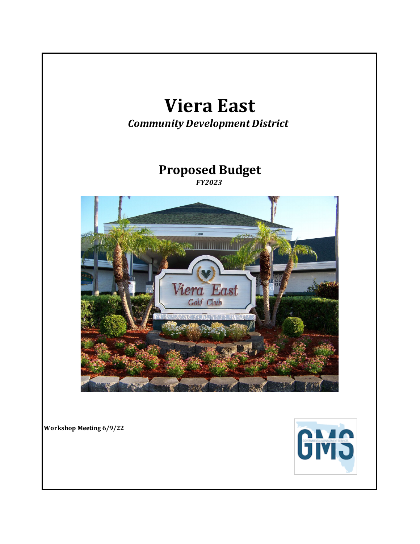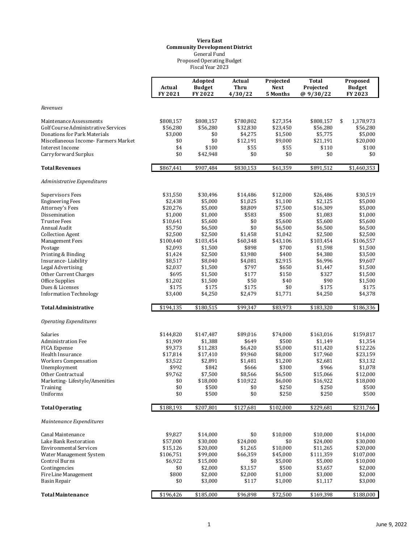#### Fiscal Year 2023 Proposed Operating Budget General Fund **Viera East Community Development District**

|                                           | Actual<br>FY 2021  | Adopted<br><b>Budget</b><br>FY 2022 | Actual<br>Thru<br>4/30/22 | Projected<br><b>Next</b><br>5 Months | <b>Total</b><br>Projected<br>@ 9/30/22 | Proposed<br><b>Budget</b><br>FY 2023 |
|-------------------------------------------|--------------------|-------------------------------------|---------------------------|--------------------------------------|----------------------------------------|--------------------------------------|
| Revenues                                  |                    |                                     |                           |                                      |                                        |                                      |
| Maintenance Assessments                   | \$808,157          | \$808,157                           | \$780,802                 | \$27,354                             | \$808,157                              | \$<br>1,378,973                      |
| Golf Course Administrative Services       | \$56,280           | \$56,280                            | \$32,830                  | \$23,450                             | \$56,280                               | \$56,280                             |
| Donations for Park Materials              | \$3,000            | \$0                                 | \$4,275                   | \$1,500                              | \$5,775                                | \$5,000                              |
| Miscellaneous Income-Farmers Market       | \$0                | \$0                                 | \$12,191                  | \$9,000                              | \$21,191                               | \$20,000                             |
| Interest Income                           | \$4                | \$100                               | \$55                      | \$55                                 | \$110                                  | \$100                                |
| Carryforward Surplus                      | \$0                | \$42,948                            | \$0                       | \$0                                  | \$0                                    | \$0                                  |
| <b>Total Revenues</b>                     | \$867,441          | \$907,484                           | \$830,153                 | \$61,359                             | \$891,512                              | \$1,460,353                          |
| Administrative Expenditures               |                    |                                     |                           |                                      |                                        |                                      |
| Supervisors Fees                          | \$31,550           | \$30,496                            | \$14,486                  | \$12,000                             | \$26,486                               | \$30,519                             |
| <b>Engineering Fees</b>                   | \$2,438            | \$5,000                             | \$1,025                   | \$1,100                              | \$2,125                                | \$5,000                              |
| Attorney's Fees                           | \$20,276           | \$5,000                             | \$8,809                   | \$7,500                              | \$16,309                               | \$5,000                              |
| Dissemination                             | \$1,000            | \$1,000                             | \$583                     | \$500                                | \$1,083                                | \$1,000                              |
| <b>Trustee Fees</b>                       | \$10,641           | \$5,600                             | \$0                       | \$5,600                              | \$5,600                                | \$5,600                              |
| Annual Audit                              | \$5,750            | \$6,500                             | \$0                       | \$6,500                              | \$6,500                                | \$6,500                              |
| <b>Collection Agent</b>                   | \$2,500            | \$2,500                             | \$1,458                   | \$1,042                              | \$2,500                                | \$2,500                              |
| <b>Management Fees</b>                    | \$100,440          | \$103,454                           | \$60,348                  | \$43,106                             | \$103,454                              | \$106,557                            |
| Postage                                   | \$2,093            | \$1,500                             | \$898<br>\$3,980          | \$700<br>\$400                       | \$1,598<br>\$4,380                     | \$1,500<br>\$3,500                   |
| Printing & Binding<br>Insurance-Liability | \$1,424<br>\$8,517 | \$2,500<br>\$8,040                  | \$4,081                   | \$2,915                              | \$6,996                                | \$9,607                              |
| <b>Legal Advertising</b>                  | \$2,037            | \$1,500                             | \$797                     | \$650                                | \$1,447                                | \$1,500                              |
| Other Current Charges                     | \$695              | \$1,500                             | \$177                     | \$150                                | \$327                                  | \$1,500                              |
| Office Supplies                           | \$1,202            | \$1,500                             | \$50                      | \$40                                 | \$90                                   | \$1,500                              |
| Dues & Licenses                           | \$175              | \$175                               | \$175                     | \$0                                  | \$175                                  | \$175                                |
| <b>Information Technology</b>             | \$3,400            | \$4,250                             | \$2,479                   | \$1,771                              | \$4,250                                | \$4,378                              |
| <b>Total Administrative</b>               | \$194,135          | \$180,515                           | \$99,347                  | \$83,973                             | \$183,320                              | \$186,336                            |
| <b>Operating Expenditures</b>             |                    |                                     |                           |                                      |                                        |                                      |
| Salaries                                  | \$144,820          | \$147,487                           | \$89,016                  | \$74,000                             | \$163,016                              | \$159,817                            |
| <b>Administration Fee</b>                 | \$1,909            | \$1,388                             | \$649                     | \$500                                | \$1,149                                | \$1,354                              |
| FICA Expense                              | \$9,373            | \$11,283                            | \$6,420                   | \$5,000                              | \$11,420                               | \$12,226                             |
| Health Insurance                          | \$17,814           | \$17,410                            | \$9,960                   | \$8,000                              | \$17,960                               | \$23,159                             |
| <b>Workers Compensation</b>               | \$3,522            | \$2,891                             | \$1,481                   | \$1,200                              | \$2,681                                | \$3,132                              |
| Unemployment                              | \$992              | \$842                               | \$666                     | \$300                                | \$966                                  | \$1,078                              |
| Other Contractual                         | \$9,762            | \$7,500                             | \$8,566                   | \$6,500                              | \$15,066                               | \$12,000                             |
| Marketing-Lifestyle/Amenities             | \$0                | \$18,000                            | \$10,922                  | \$6,000                              | \$16,922                               | \$18,000                             |
| Training                                  | \$0                | \$500                               | \$0                       | \$250                                | \$250                                  | \$500                                |
| Uniforms                                  | \$0                | \$500                               | \$0                       | \$250                                | \$250                                  | \$500                                |
| <b>Total Operating</b>                    | \$188,193          | \$207,801                           | \$127,681                 | \$102,000                            | \$229,681                              | \$231,766                            |
| Maintenance Expenditures                  |                    |                                     |                           |                                      |                                        |                                      |
| Canal Maintenance                         | \$9,827            | \$14,000                            | \$0                       | \$10,000                             | \$10,000                               | \$14,000                             |
| Lake Bank Restoration                     | \$57,000           | \$30,000                            | \$24,000                  | \$0                                  | \$24,000                               | \$30,000                             |
| <b>Environmental Services</b>             | \$15,126           | \$20,000                            | \$1,265                   | \$10,000                             | \$11,265                               | \$20,000                             |
| Water Management System                   | \$106,751          | \$99,000                            | \$66,359                  | \$45,000                             | \$111,359                              | \$107,000                            |
| <b>Control Burns</b>                      | \$6,922            | \$15,000                            | \$0                       | \$5,000                              | \$5,000                                | \$10,000                             |
| Contingencies                             | \$0                | \$2,000                             | \$3,157                   | \$500                                | \$3,657                                | \$2,000                              |
| Fire Line Management                      | \$800              | \$2,000                             | \$2,000                   | \$1,000                              | \$3,000                                | \$2,000                              |
| <b>Basin Repair</b>                       | \$0                | \$3,000                             | \$117                     | \$1,000                              | \$1,117                                | \$3,000                              |
| <b>Total Maintenance</b>                  | \$196,426          | \$185,000                           | \$96,898                  | \$72,500                             | \$169,398                              | \$188,000                            |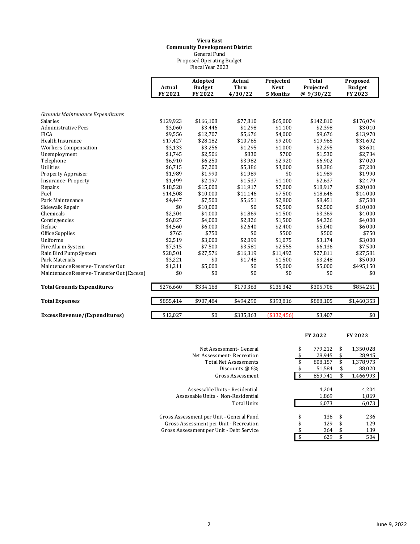#### Fiscal Year 2023 Proposed Operating Budget General Fund **Viera East Community Development District**

|                                           | Actual<br>FY 2021 | Adopted<br><b>Budget</b><br>FY 2022 | Actual<br><b>Thru</b><br>4/30/22 | Projected<br><b>Next</b><br>5 Months | <b>Total</b><br>Projected<br>@ 9/30/22 | Proposed<br><b>Budget</b><br>FY 2023 |
|-------------------------------------------|-------------------|-------------------------------------|----------------------------------|--------------------------------------|----------------------------------------|--------------------------------------|
| Grounds Maintenance Expenditures          |                   |                                     |                                  |                                      |                                        |                                      |
| Salaries                                  | \$129,923         | \$166,108                           | \$77,810                         | \$65,000                             | \$142,810                              | \$176,074                            |
| Administrative Fees                       | \$3,060           | \$3,446                             | \$1,298                          | \$1,100                              | \$2,398                                | \$3,010                              |
| <b>FICA</b>                               | \$9,556           | \$12,707                            | \$5,676                          | \$4,000                              | \$9,676                                | \$13,970                             |
| Health Insurance                          | \$17,427          | \$28,182                            | \$10,765                         | \$9,200                              | \$19,965                               | \$31,692                             |
| <b>Workers Compensation</b>               | \$3,133           | \$3,256                             | \$1,295                          | \$1,000                              | \$2,295                                | \$3,601                              |
| Unemployment                              | \$1,745           | \$2,506                             | \$830                            | \$700                                | \$1,530                                | \$2,734                              |
| Telephone                                 | \$6,910           | \$6,250                             | \$3,982                          | \$2,920                              | \$6,902                                | \$7,020                              |
| <b>Utilities</b>                          | \$6,715           | \$7,200                             | \$5,386                          | \$3,000                              | \$8,386                                | \$7,200                              |
| <b>Property Appraiser</b>                 | \$1.989           | \$1,990                             | \$1,989                          | \$0                                  | \$1,989                                | \$1,990                              |
| <b>Insurance-Property</b>                 | \$1,499           | \$2,197                             | \$1,537                          | \$1,100                              | \$2,637                                | \$2,479                              |
| Repairs                                   | \$18,528          | \$15,000                            | \$11,917                         | \$7,000                              | \$18,917                               | \$20,000                             |
| Fuel                                      | \$14,508          | \$10,000                            | \$11,146                         | \$7,500                              | \$18,646                               | \$14,000                             |
| Park Maintenance                          | \$4,447           | \$7,500                             | \$5,651                          | \$2,800                              | \$8,451                                | \$7,500                              |
| Sidewalk Repair                           | \$0               | \$10,000                            | \$0                              | \$2,500                              | \$2,500                                | \$10,000                             |
| Chemicals                                 | \$2,304           | \$4,000                             | \$1,869                          | \$1,500                              | \$3,369                                | \$4,000                              |
| Contingencies                             | \$6,827           | \$4,000                             | \$2,826                          | \$1,500                              | \$4,326                                | \$4,000                              |
| Refuse                                    | \$4,560           | \$6,000                             | \$2,640                          | \$2,400                              | \$5,040                                | \$6,000                              |
| Office Supplies                           | \$765             | \$750                               | \$0                              | \$500                                | \$500                                  | \$750                                |
| Uniforms                                  | \$2,519           | \$3,000                             | \$2,099                          | \$1,075                              | \$3,174                                | \$3,000                              |
| Fire Alarm System                         | \$7,315           | \$7,500                             | \$3,581                          | \$2,555                              | \$6,136                                | \$7,500                              |
| Rain Bird Pump System                     | \$28,501          | \$27,576                            | \$16,319                         | \$11,492                             | \$27,811                               | \$27,581                             |
| Park Materials                            | \$3,221           | \$0                                 | \$1,748                          | \$1,500                              | \$3,248                                | \$5,000                              |
| Maintenance Reserve-Transfer Out          | \$1,211           | \$5,000                             | \$0                              | \$5,000                              | \$5,000                                | \$495,150                            |
| Maintenance Reserve-Transfer Out (Excess) | \$0               | \$0                                 | \$0                              | \$0                                  | \$0                                    | \$0                                  |
| <b>Total Grounds Expenditures</b>         | \$276,660         | \$334,168                           | \$170,363                        | \$135,342                            | \$305,706                              | \$854,251                            |
| <b>Total Expenses</b>                     | \$855,414         | \$907,484                           | \$494,290                        | \$393,816                            | \$888,105                              | \$1,460,353                          |
| <b>Excess Revenue/(Expenditures)</b>      | \$12.027          | \$0                                 | \$335.863                        | (\$332,456)                          | \$3.407                                | \$0                                  |

| Net Assessment- General      |
|------------------------------|
| Net Assessment-Recreation    |
| <b>Total Net Assessments</b> |
| Discounts @ 6%               |
| Gross Assessment             |

Assessable Units - Residential Assessable Units - Non-Residential Total Units

Gross Assessment per Unit - General Fund Gross Assessment per Unit - Recreation Gross Assessment per Unit - Debt Service

|                                                                                              |                | FY 2022                 | FY 2023        |                         |
|----------------------------------------------------------------------------------------------|----------------|-------------------------|----------------|-------------------------|
| Net Assessment- General                                                                      | \$             | 779,212                 | \$             | 1,350,028               |
| Net Assessment- Recreation                                                                   | \$             | 28.945                  | \$             | 28.945                  |
| <b>Total Net Assessments</b>                                                                 | \$             | 808,157                 | \$             | 1,378,973               |
| Discounts $\omega$ 6%                                                                        | \$             | 51,584                  | \$             | 88,020                  |
| Gross Assessment                                                                             | \$             | 859,741                 | \$             | 1,466,993               |
| ssessable Units - Residential<br>able Units -  Non-Residential<br>Total Units                |                | 4.204<br>1,869<br>6.073 |                | 4.204<br>1,869<br>6,073 |
| nent per Unit - General Fund<br>ssment per Unit - Recreation<br>ment per Unit - Debt Service | \$<br>\$<br>\$ | 136<br>129<br>364       | \$<br>\$<br>\$ | 236<br>129<br>139       |
|                                                                                              | \$             | 629                     | \$             | 504                     |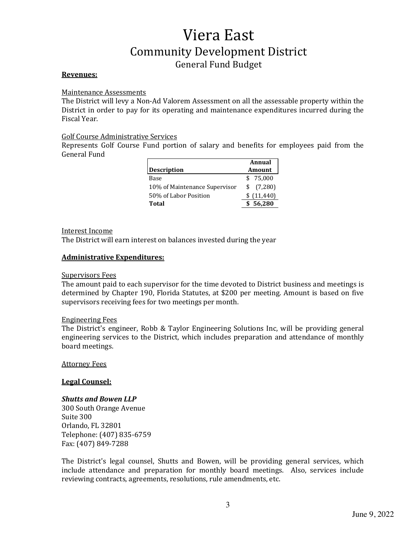## **Revenues:**

#### Maintenance Assessments

The District will levy a Non-Ad Valorem Assessment on all the assessable property within the District in order to pay for its operating and maintenance expenditures incurred during the Fiscal Year.

## Golf Course Administrative Services

Represents Golf Course Fund portion of salary and benefits for employees paid from the General Fund

|                               | Annual        |             |  |
|-------------------------------|---------------|-------------|--|
| <b>Description</b>            | <b>Amount</b> |             |  |
| Base                          |               | \$75.000    |  |
| 10% of Maintenance Supervisor |               | \$ (7,280)  |  |
| 50% of Labor Position         |               | \$(11, 440) |  |
| Total                         |               | 56,280      |  |

#### Interest Income

The District will earn interest on balances invested during the year

#### **Administrative Expenditures:**

#### Supervisors Fees

The amount paid to each supervisor for the time devoted to District business and meetings is determined by Chapter 190, Florida Statutes, at \$200 per meeting. Amount is based on five supervisors receiving fees for two meetings per month.

#### Engineering Fees

The District's engineer, Robb & Taylor Engineering Solutions Inc, will be providing general engineering services to the District, which includes preparation and attendance of monthly board meetings.

Attorney Fees

## **Legal Counsel:**

## **Shutts and Bowen LLP**

300 South Orange Avenue Suite 300 Orlando, FL 32801 Telephone: (407) 835-6759 Fax: (407) 849-7288

The District's legal counsel, Shutts and Bowen, will be providing general services, which include attendance and preparation for monthly board meetings. Also, services include reviewing contracts, agreements, resolutions, rule amendments, etc.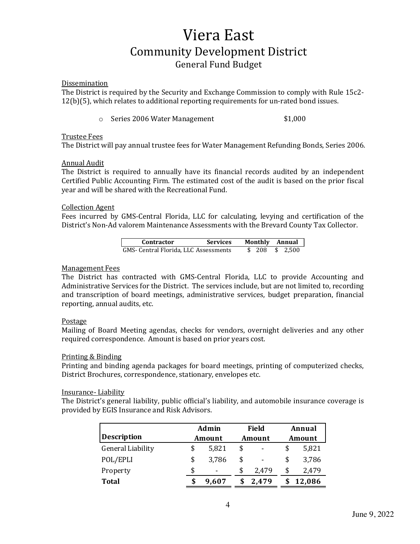#### **Dissemination**

The District is required by the Security and Exchange Commission to comply with Rule 15c2- $12(b)(5)$ , which relates to additional reporting requirements for un-rated bond issues.

o Series 2006 Water Management \$1,000

#### Trustee Fees

The District will pay annual trustee fees for Water Management Refunding Bonds, Series 2006.

#### **Annual Audit**

The District is required to annually have its financial records audited by an independent Certified Public Accounting Firm. The estimated cost of the audit is based on the prior fiscal year and will be shared with the Recreational Fund.

#### **Collection Agent**

Fees incurred by GMS-Central Florida, LLC for calculating, levying and certification of the District's Non-Ad valorem Maintenance Assessments with the Brevard County Tax Collector.

| <b>Contractor</b>                     | <b>Services</b> |  | Monthly Annual      |
|---------------------------------------|-----------------|--|---------------------|
| GMS- Central Florida, LLC Assessments |                 |  | $$208 \quad $2.500$ |

# **Management Fees**

The District has contracted with GMS-Central Florida, LLC to provide Accounting and Administrative Services for the District. The services include, but are not limited to, recording and transcription of board meetings, administrative services, budget preparation, financial reporting, annual audits, etc.

#### Postage

Mailing of Board Meeting agendas, checks for vendors, overnight deliveries and any other required correspondence. Amount is based on prior years cost.

#### Printing & Binding

Printing and binding agenda packages for board meetings, printing of computerized checks, District Brochures, correspondence, stationary, envelopes etc.

#### Insurance- Liability

The District's general liability, public official's liability, and automobile insurance coverage is provided by EGIS Insurance and Risk Advisors.

|                          |    | Admin  |    | <b>Field</b> |    | Annual |        |
|--------------------------|----|--------|----|--------------|----|--------|--------|
| <b>Description</b>       |    | Amount |    | Amount       |    |        | Amount |
| <b>General Liability</b> |    | 5,821  | \$ | ٠            | \$ | 5,821  |        |
| POL/EPLI                 | \$ | 3,786  | \$ | ٠            | \$ | 3,786  |        |
| Property                 | \$ | -      | \$ | 2,479        | \$ | 2,479  |        |
| <b>Total</b>             |    | 9,607  |    | 2,479        |    | 12,086 |        |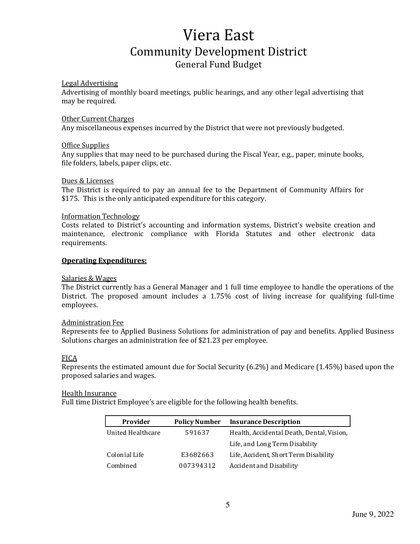#### **Legal Advertising**

Advertising of monthly board meetings, public hearings, and any other legal advertising that may be required.

#### Other Current Charges

Any miscellaneous expenses incurred by the District that were not previously budgeted.

#### Office Supplies

Any supplies that may need to be purchased during the Fiscal Year, e.g., paper, minute books, file folders, labels, paper clips, etc.

#### Dues & Licenses

The District is required to pay an annual fee to the Department of Community Affairs for \$175. This is the only anticipated expenditure for this category.

#### Information Technology

Costs related to District's accounting and information systems, District's website creation and maintenance, electronic compliance with Florida Statutes and other electronic data requirements.

#### **Operating Expenditures:**

#### Salaries & Wages

The District currently has a General Manager and 1 full time employee to handle the operations of the District. The proposed amount includes a  $1.75\%$  cost of living increase for qualifying full-time employees.

## Administration Fee

Represents fee to Applied Business Solutions for administration of pay and benefits. Applied Business Solutions charges an administration fee of \$21.23 per employee.

## FICA

Represents the estimated amount due for Social Security  $(6.2%)$  and Medicare  $(1.45%)$  based upon the proposed salaries and wages.

#### Health Insurance

Full time District Employee's are eligible for the following health benefits.

| Provider          | <b>Policy Number</b> | <b>Insurance Description</b>              |
|-------------------|----------------------|-------------------------------------------|
| United Healthcare | 591637               | Health, Accidental Death, Dental, Vision, |
|                   |                      | Life, and Long Term Disability            |
| Colonial Life     | E3682663             | Life, Accident, Short Term Disability     |
| Combined          | 007394312            | Accident and Disability                   |

5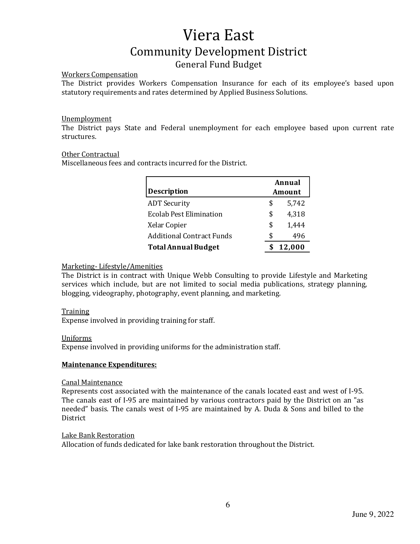## Workers Compensation

The District provides Workers Compensation Insurance for each of its employee's based upon statutory requirements and rates determined by Applied Business Solutions.

# Unemployment

The District pays State and Federal unemployment for each employee based upon current rate structures. 

## Other Contractual

Miscellaneous fees and contracts incurred for the District.

|                                  | Annual |       |  |
|----------------------------------|--------|-------|--|
| <b>Description</b>               | Amount |       |  |
| <b>ADT</b> Security              | \$     | 5,742 |  |
| <b>Ecolab Pest Elimination</b>   | \$     | 4,318 |  |
| Xelar Copier                     | \$     | 1.444 |  |
| <b>Additional Contract Funds</b> | S      | 496   |  |
| <b>Total Annual Budget</b>       | 12,000 |       |  |

# Marketing- Lifestyle/Amenities

The District is in contract with Unique Webb Consulting to provide Lifestyle and Marketing services which include, but are not limited to social media publications, strategy planning, blogging, videography, photography, event planning, and marketing.

## Training

Expense involved in providing training for staff.

## Uniforms

Expense involved in providing uniforms for the administration staff.

## **Maintenance Expenditures:**

## Canal Maintenance

Represents cost associated with the maintenance of the canals located east and west of I-95. The canals east of I-95 are maintained by various contractors paid by the District on an "as needed" basis. The canals west of I-95 are maintained by A. Duda & Sons and billed to the **District** 

## Lake Bank Restoration

Allocation of funds dedicated for lake bank restoration throughout the District.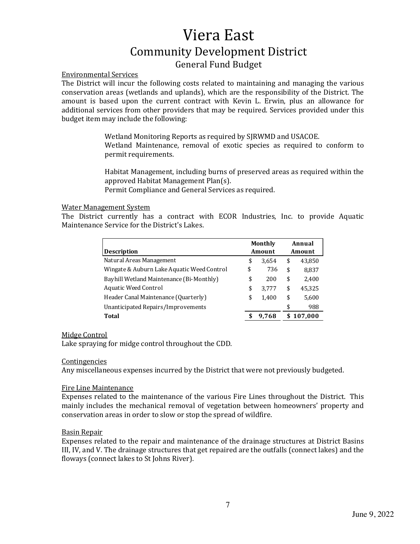# Environmental Services

The District will incur the following costs related to maintaining and managing the various conservation areas (wetlands and uplands), which are the responsibility of the District. The amount is based upon the current contract with Kevin L. Erwin, plus an allowance for additional services from other providers that may be required. Services provided under this budget item may include the following:

> Wetland Monitoring Reports as required by SJRWMD and USACOE. Wetland Maintenance, removal of exotic species as required to conform to permit requirements.

> Habitat Management, including burns of preserved areas as required within the approved Habitat Management Plan(s).

Permit Compliance and General Services as required.

## Water Management System

The District currently has a contract with ECOR Industries, Inc. to provide Aquatic Maintenance Service for the District's Lakes.

| <b>Description</b>                         | Monthly<br>Amount |    | Annual<br>Amount |
|--------------------------------------------|-------------------|----|------------------|
| Natural Areas Management                   | \$<br>3.654       | \$ | 43,850           |
| Wingate & Auburn Lake Aquatic Weed Control | \$<br>736         | \$ | 8,837            |
| Bayhill Wetland Maintenance (Bi-Monthly)   | \$<br>200         | \$ | 2,400            |
| Aquatic Weed Control                       | \$<br>3,777       | \$ | 45,325           |
| Header Canal Maintenance (Quarterly)       | \$<br>1.400       | \$ | 5,600            |
| Unanticipated Repairs/Improvements         |                   | \$ | 988              |
| Total                                      | 9,768             | \$ | 107,000          |

# Midge Control

Lake spraying for midge control throughout the CDD.

## **Contingencies**

Any miscellaneous expenses incurred by the District that were not previously budgeted.

## Fire Line Maintenance

Expenses related to the maintenance of the various Fire Lines throughout the District. This mainly includes the mechanical removal of vegetation between homeowners' property and conservation areas in order to slow or stop the spread of wildfire.

# Basin Repair

Expenses related to the repair and maintenance of the drainage structures at District Basins III, IV, and V. The drainage structures that get repaired are the outfalls (connect lakes) and the floways (connect lakes to St Johns River).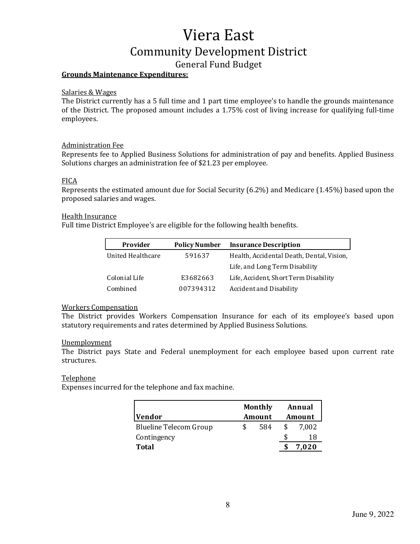# Viera East Community Development District

# General Fund Budget

# **Grounds Maintenance Expenditures:**

#### Salaries & Wages

The District currently has a 5 full time and 1 part time employee's to handle the grounds maintenance of the District. The proposed amount includes a 1.75% cost of living increase for qualifying full-time employees.

## Administration Fee

Represents fee to Applied Business Solutions for administration of pay and benefits. Applied Business Solutions charges an administration fee of \$21.23 per employee.

## **FICA**

Represents the estimated amount due for Social Security  $(6.2%)$  and Medicare  $(1.45%)$  based upon the proposed salaries and wages.

## Health Insurance

Full time District Employee's are eligible for the following health benefits.

| Provider          | <b>Policy Number</b> | <b>Insurance Description</b>              |
|-------------------|----------------------|-------------------------------------------|
| United Healthcare | 591637               | Health, Accidental Death, Dental, Vision, |
|                   |                      | Life, and Long Term Disability            |
| Colonial Life     | E3682663             | Life, Accident, Short Term Disability     |
| Combined          | 007394312            | Accident and Disability                   |

## **Workers Compensation**

The District provides Workers Compensation Insurance for each of its employee's based upon statutory requirements and rates determined by Applied Business Solutions.

## Unemployment

The District pays State and Federal unemployment for each employee based upon current rate structures. 

## Telephone

Expenses incurred for the telephone and fax machine.

| Vendor                 |   | <b>Monthly</b><br>Amount | Annual<br>Amount |
|------------------------|---|--------------------------|------------------|
| Blueline Telecom Group | S | 584                      | 7.002            |
| Contingency            |   |                          | 18               |
| <b>Total</b>           |   |                          | 7.020            |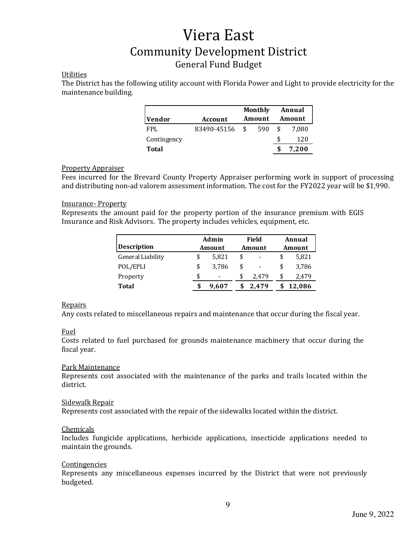# Utilities

The District has the following utility account with Florida Power and Light to provide electricity for the maintenance building.

| Vendor       | Account        | <b>Monthly</b><br>Amount | Annual<br>Amount |
|--------------|----------------|--------------------------|------------------|
| FPI.         | 83490-45156 \$ | 590                      | 7.080            |
| Contingency  |                |                          | 120              |
| <b>Total</b> |                |                          | 7,200            |

# **Property Appraiser**

Fees incurred for the Brevard County Property Appraiser performing work in support of processing and distributing non-ad valorem assessment information. The cost for the FY2022 year will be \$1,990.

# Insurance- Property

Represents the amount paid for the property portion of the insurance premium with EGIS Insurance and Risk Advisors. The property includes vehicles, equipment, etc.

|                    | Admin                          |    | Field                        | Annual |        |  |
|--------------------|--------------------------------|----|------------------------------|--------|--------|--|
| <b>Description</b> | Amount                         |    | Amount                       |        | Amount |  |
| General Liability  | \$<br>5,821                    | \$ | $\qquad \qquad \blacksquare$ | \$     | 5,821  |  |
| POL/EPLI           | \$<br>3.786                    | \$ | ۰                            | \$     | 3,786  |  |
| Property           | \$<br>$\overline{\phantom{a}}$ | \$ | 2.479                        | \$     | 2,479  |  |
| <b>Total</b>       | 9.607                          |    | 2.479                        |        | 12,086 |  |

## **Repairs**

Any costs related to miscellaneous repairs and maintenance that occur during the fiscal year.

## Fuel

Costs related to fuel purchased for grounds maintenance machinery that occur during the fiscal year.

## Park Maintenance

Represents cost associated with the maintenance of the parks and trails located within the district.

#### Sidewalk Repair

Represents cost associated with the repair of the sidewalks located within the district.

## **Chemicals**

Includes fungicide applications, herbicide applications, insecticide applications needed to maintain the grounds.

## **Contingencies**

Represents any miscellaneous expenses incurred by the District that were not previously budgeted.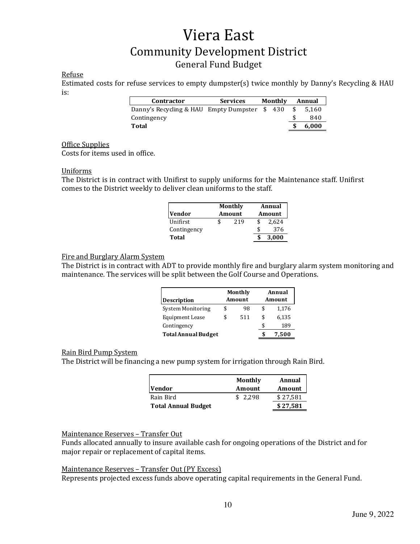# Refuse

Estimated costs for refuse services to empty dumpster(s) twice monthly by Danny's Recycling & HAU is:

| <b>Services</b> |                                        | Annual            |       |  |
|-----------------|----------------------------------------|-------------------|-------|--|
|                 |                                        |                   | 5.160 |  |
|                 |                                        |                   | 840   |  |
|                 |                                        |                   | 6,000 |  |
|                 | Danny's Recycling & HAU Empty Dumpster | Monthly<br>\$ 430 |       |  |

#### Office Supplies

Costs for items used in office.

#### Uniforms

The District is in contract with Unifirst to supply uniforms for the Maintenance staff. Unifirst comes to the District weekly to deliver clean uniforms to the staff.

| Monthly<br><b>Vendor</b><br><b>Amount</b> |  |     | Annual<br>Amount |       |  |  |
|-------------------------------------------|--|-----|------------------|-------|--|--|
| Unifirst                                  |  | 219 |                  | 2,624 |  |  |
| Contingency                               |  |     |                  | 376   |  |  |
| Total                                     |  |     |                  | 3,000 |  |  |

# Fire and Burglary Alarm System

The District is in contract with ADT to provide monthly fire and burglary alarm system monitoring and maintenance. The services will be split between the Golf Course and Operations.

| <b>Description</b>         |    | <b>Monthly</b><br>Amount | Annual<br>Amount |       |  |  |
|----------------------------|----|--------------------------|------------------|-------|--|--|
| System Monitoring          | \$ | 98                       | \$               | 1,176 |  |  |
| <b>Equipment Lease</b>     | ፍ  | 511                      | \$               | 6,135 |  |  |
| Contingency                |    |                          | \$               | 189   |  |  |
| <b>Total Annual Budget</b> |    |                          |                  | 7,500 |  |  |

## Rain Bird Pump System

The District will be financing a new pump system for irrigation through Rain Bird.

| <b>Vendor</b>              | Monthly<br>Amount | Annual<br>Amount |
|----------------------------|-------------------|------------------|
| Rain Bird                  | \$2.298           | \$27,581         |
| <b>Total Annual Budget</b> |                   | \$27,581         |

## Maintenance Reserves - Transfer Out

Funds allocated annually to insure available cash for ongoing operations of the District and for major repair or replacement of capital items.

# Maintenance Reserves - Transfer Out (PY Excess)

Represents projected excess funds above operating capital requirements in the General Fund.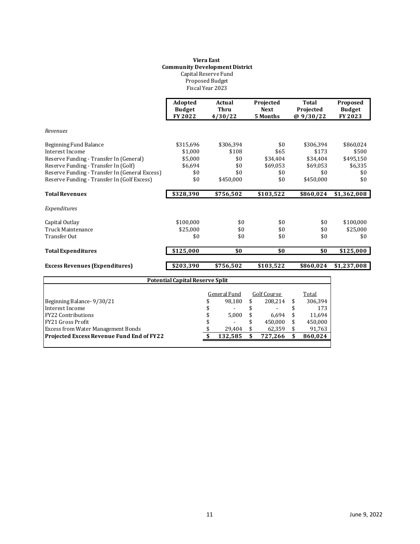#### **Viera East Community Development District** Capital Reserve Fund Proposed Budget Fiscal Year 2023

|                                                | Adopted<br><b>Budget</b><br>FY 2022    | Actual<br><b>Thru</b><br>4/30/22 | Projected<br><b>Next</b><br>5 Months | <b>Total</b><br>Projected<br>@9/30/22 | Proposed<br><b>Budget</b><br>FY 2023 |
|------------------------------------------------|----------------------------------------|----------------------------------|--------------------------------------|---------------------------------------|--------------------------------------|
| Revenues                                       |                                        |                                  |                                      |                                       |                                      |
| Beginning Fund Balance                         | \$315,696                              | \$306,394                        | \$0                                  | \$306,394                             | \$860,024                            |
| <b>Interest Income</b>                         | \$1,000                                | \$108                            | \$65                                 | \$173                                 | \$500                                |
| Reserve Funding - Transfer In (General)        | \$5,000                                | \$0                              | \$34,404                             | \$34,404                              | \$495,150                            |
| Reserve Funding - Transfer In (Golf)           | \$6,694                                | \$0                              | \$69,053                             | \$69,053                              | \$6,335                              |
| Reserve Funding - Transfer In (General Excess) | \$0                                    | \$0                              | \$0                                  | \$0                                   | \$0                                  |
| Reserve Funding - Transfer In (Golf Excess)    | \$0                                    | \$450,000                        | \$0                                  | \$450,000                             | \$0                                  |
| <b>Total Revenues</b>                          | \$328,390                              | \$756,502                        | \$103,522                            | \$860,024                             | \$1,362,008                          |
| Expenditures                                   |                                        |                                  |                                      |                                       |                                      |
| Capital Outlay                                 | \$100,000                              | \$0                              | \$0                                  | \$0                                   | \$100,000                            |
| Truck Maintenance                              | \$25,000                               | \$0                              | \$0                                  | \$0                                   | \$25,000                             |
| <b>Transfer Out</b>                            | \$0                                    | \$0                              | \$0                                  | \$0                                   | \$0                                  |
| <b>Total Expenditures</b>                      | \$125,000                              | \$0                              | \$0                                  | \$0                                   | \$125,000                            |
| <b>Excess Revenues (Expenditures)</b>          | \$203,390                              | \$756,502                        | \$103,522                            | \$860,024                             | \$1,237,008                          |
|                                                | <b>Potential Capital Reserve Split</b> |                                  |                                      |                                       |                                      |
|                                                |                                        |                                  |                                      |                                       |                                      |
|                                                |                                        | <b>General Fund</b>              | Golf Course                          | Total                                 |                                      |
| Beginning Balance-9/30/21                      |                                        | \$<br>98,180                     | \$<br>208,214                        | 306,394<br>\$                         |                                      |
| Interest Income                                |                                        | \$                               |                                      | \$<br>173                             |                                      |
| <b>FY22 Contributions</b>                      |                                        | \$<br>5,000                      | 6.694                                | \$<br>11,694                          |                                      |
| <b>FY21 Gross Profit</b>                       |                                        | \$                               | \$<br>450,000                        | \$<br>450,000                         |                                      |
| <b>Excess from Water Management Bonds</b>      |                                        | 29,404                           | \$<br>62,359                         | \$<br>91,763                          |                                      |
| Projected Excess Revenue Fund End of FY22      |                                        | \$<br>132,585                    | \$<br>727,266                        | \$<br>860,024                         |                                      |
|                                                |                                        |                                  |                                      |                                       |                                      |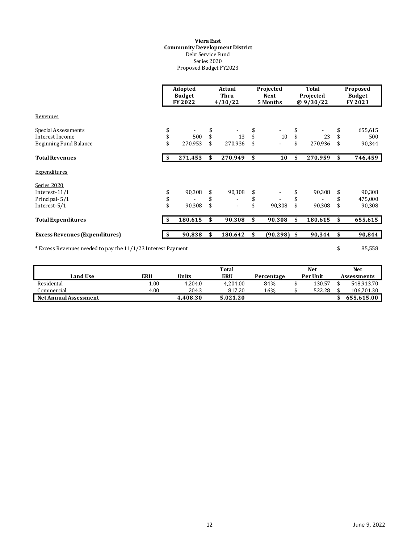#### **Viera East Community Development District** Debt Service Fund Series 2020 Proposed Budget FY2023

|                                                              |     | Adopted<br><b>Budget</b><br>FY 2022 |    | Actual<br>Thru<br>4/30/22 |    | Projected<br><b>Next</b><br>5 Months |    | Total<br>Projected<br>@9/30/22 | Proposed<br><b>Budget</b><br>FY 2023 |
|--------------------------------------------------------------|-----|-------------------------------------|----|---------------------------|----|--------------------------------------|----|--------------------------------|--------------------------------------|
| Revenues                                                     |     |                                     |    |                           |    |                                      |    |                                |                                      |
| Special Assessments                                          | \$  |                                     |    |                           |    |                                      |    |                                | 655,615                              |
| Interest Income                                              | \$  | 500                                 |    | 13                        | \$ | 10                                   | \$ | 23                             | \$<br>500                            |
| <b>Beginning Fund Balance</b>                                | \$  | 270,953                             |    | 270,936                   |    |                                      | \$ | 270,936                        | \$<br>90,344                         |
| <b>Total Revenues</b>                                        |     | 271,453                             | \$ | 270,949                   | \$ | 10                                   | \$ | 270,959                        | \$<br>746,459                        |
| Expenditures                                                 |     |                                     |    |                           |    |                                      |    |                                |                                      |
| Series 2020                                                  |     |                                     |    |                           |    |                                      |    |                                |                                      |
| Interest-11/1                                                | \$  | 90,308                              |    | 90,308                    | \$ |                                      | \$ | 90,308                         | \$<br>90,308                         |
| Principal-5/1                                                | \$  |                                     |    |                           | \$ |                                      | \$ |                                | 475,000                              |
| Interest-5/1                                                 | \$  | 90,308                              | \$ |                           | \$ | 90,308                               | \$ | 90,308                         | \$<br>90,308                         |
| <b>Total Expenditures</b>                                    | -\$ | 180,615                             | \$ | 90,308                    | \$ | 90,308                               | \$ | 180,615                        | \$<br>655,615                        |
| <b>Excess Revenues (Expenditures)</b>                        |     | 90,838                              | \$ | 180,642                   | \$ | $(90, 298)$ \$                       |    | 90,344                         | \$<br>90,844                         |
| * Excess Revenues needed to pay the 11/1/23 Interest Payment |     |                                     |    |                           |    |                                      |    |                                | \$<br>85,558                         |

|                       |      |          | Total    |            | Net      | Net                |
|-----------------------|------|----------|----------|------------|----------|--------------------|
| Land Use              | ERU  | Units    | ERU      | Percentage | Per Unit | <b>Assessments</b> |
| Residental            | .00  | 4.204.0  | 4.204.00 | 84%        | 130.57   | 548.913.70         |
| Commercial            | 4.00 | 204.3    | 817.20   | 16%        | 522.28   | 106.701.30         |
| Net Annual Assessment |      | 4.408.30 | 5.021.20 |            |          | 655.615.00         |